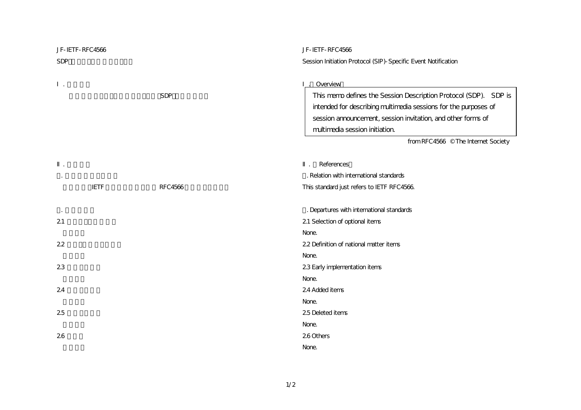| JF-IETF-RFC4566 |                | JF-IETF-RFC4566                                                  |
|-----------------|----------------|------------------------------------------------------------------|
| <b>SDP</b>      |                | Session Initiation Protocol (SIP)-Specific Event Notification    |
|                 |                |                                                                  |
|                 |                | Overview                                                         |
|                 | <b>SDP</b>     | This memo defines the Session Description Protocol (SDP). SDP is |
|                 |                | intended for describing multimedia sessions for the purposes of  |
|                 |                | session announcement, session invitation, and other forms of     |
|                 |                | multimedia session initiation.                                   |
|                 |                | from RFC4566 © The Internet Society                              |
|                 |                |                                                                  |
|                 |                | References                                                       |
|                 |                | . Relation with international standards                          |
| <b>IETF</b>     | <b>RFC4566</b> | This standard just refers to IETF RFC4566                        |
|                 |                |                                                                  |
|                 |                | . Departures with international standards                        |
| 21              |                | 21 Selection of optional items                                   |
|                 |                | None.                                                            |
| 22              |                | 22 Definition of national matter items                           |
|                 |                | None.                                                            |
| 23              |                | 23 Early implementation items                                    |
|                 |                | None.                                                            |
| 24              |                | 24 Added items                                                   |
|                 |                | None.                                                            |
| 25              |                | 25 Deleted items                                                 |
|                 |                | None.                                                            |
| 26              |                | 260thers                                                         |
|                 |                | None.                                                            |